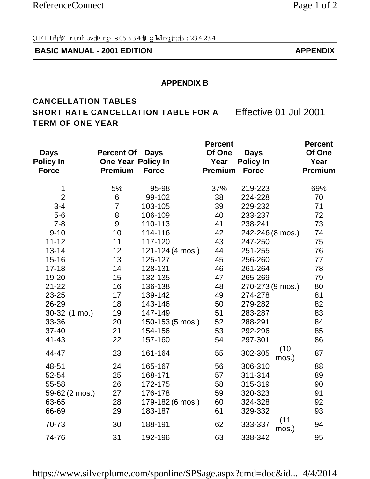## **BASIC MANUAL - 2001 EDITION APPENDIX**

### **APPENDIX B**

# CANCELLATION TABLES SHORT RATE CANCELLATION TABLE FOR A Effective 01 Jul 2001 TERM OF ONE YEAR

| <b>Days</b><br><b>Policy In</b><br><b>Force</b> | <b>Percent Of</b><br>One Year Policy In<br><b>Premium</b> | <b>Days</b><br><b>Force</b> | <b>Percent</b><br>Of One<br>Year<br><b>Premium</b> | <b>Days</b><br><b>Policy In</b><br><b>Force</b> | <b>Percent</b><br>Of One<br>Year<br><b>Premium</b> |
|-------------------------------------------------|-----------------------------------------------------------|-----------------------------|----------------------------------------------------|-------------------------------------------------|----------------------------------------------------|
| 1                                               | 5%                                                        | 95-98                       | 37%                                                | 219-223                                         | 69%                                                |
| $\overline{2}$                                  | 6                                                         | 99-102                      | 38                                                 | 224-228                                         | 70                                                 |
| $3 - 4$                                         | $\overline{7}$                                            | 103-105                     | 39                                                 | 229-232                                         | 71                                                 |
| $5-6$                                           | 8                                                         | 106-109                     | 40                                                 | 233-237                                         | 72                                                 |
| $7 - 8$                                         | 9                                                         | 110-113                     | 41                                                 | 238-241                                         | 73                                                 |
| $9 - 10$                                        | 10                                                        | 114-116                     | 42                                                 | 242-246 (8 mos.)                                | 74                                                 |
| $11 - 12$                                       | 11                                                        | 117-120                     | 43                                                 | 247-250                                         | 75                                                 |
| $13 - 14$                                       | 12                                                        | 121-124 (4 mos.)            | 44                                                 | 251-255                                         | 76                                                 |
| $15 - 16$                                       | 13                                                        | 125-127                     | 45                                                 | 256-260                                         | 77                                                 |
| $17 - 18$                                       | 14                                                        | 128-131                     | 46                                                 | 261-264                                         | 78                                                 |
| 19-20                                           | 15                                                        | 132-135                     | 47                                                 | 265-269                                         | 79                                                 |
| $21 - 22$                                       | 16                                                        | 136-138                     | 48                                                 | 270-273 (9 mos.)                                | 80                                                 |
| 23-25                                           | 17                                                        | 139-142                     | 49                                                 | 274-278                                         | 81                                                 |
| 26-29                                           | 18                                                        | 143-146                     | 50                                                 | 279-282                                         | 82                                                 |
| 30-32 (1 mo.)                                   | 19                                                        | 147-149                     | 51                                                 | 283-287                                         | 83                                                 |
| 33-36                                           | 20                                                        | 150-153 (5 mos.)            | 52                                                 | 288-291                                         | 84                                                 |
| $37 - 40$                                       | 21                                                        | 154-156                     | 53                                                 | 292-296                                         | 85                                                 |
| $41 - 43$                                       | 22                                                        | 157-160                     | 54                                                 | 297-301                                         | 86                                                 |
| 44-47                                           | 23                                                        | 161-164                     | 55                                                 | (10)<br>302-305<br>mos.)                        | 87                                                 |
| 48-51                                           | 24                                                        | 165-167                     | 56                                                 | 306-310                                         | 88                                                 |
| 52-54                                           | 25                                                        | 168-171                     | 57                                                 | 311-314                                         | 89                                                 |
| 55-58                                           | 26                                                        | 172-175                     | 58                                                 | 315-319                                         | 90                                                 |
| 59-62 (2 mos.)                                  | 27                                                        | 176-178                     | 59                                                 | 320-323                                         | 91                                                 |
| 63-65                                           | 28                                                        | 179-182 (6 mos.)            | 60                                                 | 324-328                                         | 92                                                 |
| 66-69                                           | 29                                                        | 183-187                     | 61                                                 | 329-332                                         | 93                                                 |
| 70-73                                           | 30                                                        | 188-191                     | 62                                                 | (11)<br>333-337<br>mos.)                        | 94                                                 |
| 74-76                                           | 31                                                        | 192-196                     | 63                                                 | 338-342                                         | 95                                                 |